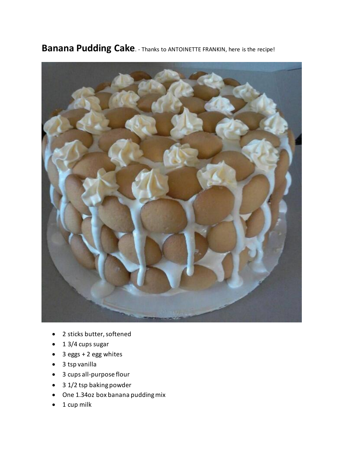

**Banana Pudding Cake**. - Thanks to ANTOINETTE FRANKIN, here is the recipe!

- 2 sticks butter, softened
- 1 3/4 cups sugar
- 3 eggs + 2 egg whites
- 3 tsp vanilla
- 3 cups all-purpose flour
- 3 1/2 tsp baking powder
- One 1.34oz box banana pudding mix
- $\bullet$  1 cup milk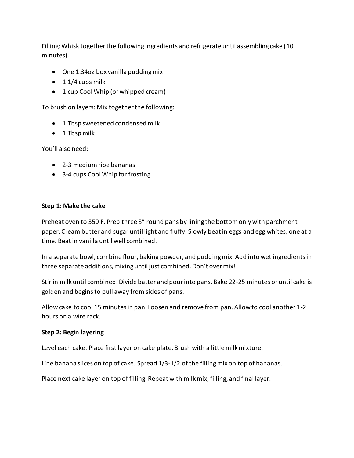Filling: Whisk together the following ingredients and refrigerate until assembling cake (10 minutes).

- One 1.34oz box vanilla pudding mix
- $\bullet$  1 1/4 cups milk
- 1 cup Cool Whip (or whipped cream)

To brush on layers: Mix together the following:

- 1 Tbsp sweetened condensed milk
- 1 Tbsp milk

You'll also need:

- 2-3 medium ripe bananas
- 3-4 cups Cool Whip for frosting

## **Step 1: Make the cake**

Preheat oven to 350 F. Prep three 8″ round pans by lining the bottom only with parchment paper. Cream butter and sugar until light and fluffy. Slowly beat in eggs and egg whites, one at a time. Beat in vanilla until well combined.

In a separate bowl, combine flour, baking powder, and pudding mix. Add into wet ingredients in three separate additions, mixing until just combined. Don't over mix!

Stir in milk until combined. Divide batter and pour into pans. Bake 22-25 minutes or until cake is golden and beginsto pull away from sides of pans.

Allow cake to cool 15 minutes in pan. Loosen and remove from pan. Allow to cool another 1-2 hours on a wire rack.

## **Step 2: Begin layering**

Level each cake. Place first layer on cake plate. Brush with a little milk mixture.

Line banana slices on top of cake. Spread 1/3-1/2 of the filling mix on top of bananas.

Place next cake layer on top of filling. Repeat with milk mix, filling, and final layer.